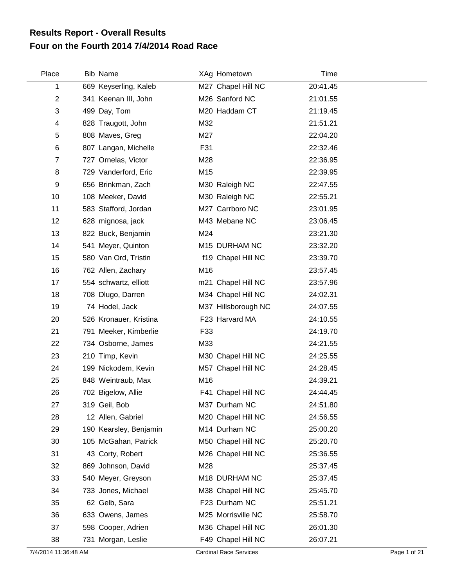## **Four on the Fourth 2014 7/4/2014 Road Race Results Report - Overall Results**

| Place | <b>Bib Name</b>        | XAg Hometown        | <b>Time</b> |  |
|-------|------------------------|---------------------|-------------|--|
| 1     | 669 Keyserling, Kaleb  | M27 Chapel Hill NC  | 20:41.45    |  |
| 2     | 341 Keenan III, John   | M26 Sanford NC      | 21:01.55    |  |
| 3     | 499 Day, Tom           | M20 Haddam CT       | 21:19.45    |  |
| 4     | 828 Traugott, John     | M32                 | 21:51.21    |  |
| 5     | 808 Maves, Greg        | M27                 | 22:04.20    |  |
| 6     | 807 Langan, Michelle   | F31                 | 22:32.46    |  |
| 7     | 727 Ornelas, Victor    | M28                 | 22:36.95    |  |
| 8     | 729 Vanderford, Eric   | M15                 | 22:39.95    |  |
| 9     | 656 Brinkman, Zach     | M30 Raleigh NC      | 22:47.55    |  |
| 10    | 108 Meeker, David      | M30 Raleigh NC      | 22:55.21    |  |
| 11    | 583 Stafford, Jordan   | M27 Carrboro NC     | 23:01.95    |  |
| 12    | 628 mignosa, jack      | M43 Mebane NC       | 23:06.45    |  |
| 13    | 822 Buck, Benjamin     | M24                 | 23:21.30    |  |
| 14    | 541 Meyer, Quinton     | M15 DURHAM NC       | 23:32.20    |  |
| 15    | 580 Van Ord, Tristin   | f19 Chapel Hill NC  | 23:39.70    |  |
| 16    | 762 Allen, Zachary     | M16                 | 23:57.45    |  |
| 17    | 554 schwartz, elliott  | m21 Chapel Hill NC  | 23:57.96    |  |
| 18    | 708 Dlugo, Darren      | M34 Chapel Hill NC  | 24:02.31    |  |
| 19    | 74 Hodel, Jack         | M37 Hillsborough NC | 24:07.55    |  |
| 20    | 526 Kronauer, Kristina | F23 Harvard MA      | 24:10.55    |  |
| 21    | 791 Meeker, Kimberlie  | F33                 | 24:19.70    |  |
| 22    | 734 Osborne, James     | M33                 | 24:21.55    |  |
| 23    | 210 Timp, Kevin        | M30 Chapel Hill NC  | 24:25.55    |  |
| 24    | 199 Nickodem, Kevin    | M57 Chapel Hill NC  | 24:28.45    |  |
| 25    | 848 Weintraub, Max     | M16                 | 24:39.21    |  |
| 26    | 702 Bigelow, Allie     | F41 Chapel Hill NC  | 24:44.45    |  |
| 27    | 319 Geil, Bob          | M37 Durham NC       | 24:51.80    |  |
| 28    | 12 Allen, Gabriel      | M20 Chapel Hill NC  | 24:56.55    |  |
| 29    | 190 Kearsley, Benjamin | M14 Durham NC       | 25:00.20    |  |
| 30    | 105 McGahan, Patrick   | M50 Chapel Hill NC  | 25:20.70    |  |
| 31    | 43 Corty, Robert       | M26 Chapel Hill NC  | 25:36.55    |  |
| 32    | 869 Johnson, David     | M28                 | 25:37.45    |  |
| 33    | 540 Meyer, Greyson     | M18 DURHAM NC       | 25:37.45    |  |
| 34    | 733 Jones, Michael     | M38 Chapel Hill NC  | 25:45.70    |  |
| 35    | 62 Gelb, Sara          | F23 Durham NC       | 25:51.21    |  |
| 36    | 633 Owens, James       | M25 Morrisville NC  | 25:58.70    |  |
| 37    | 598 Cooper, Adrien     | M36 Chapel Hill NC  | 26:01.30    |  |
| 38    | 731 Morgan, Leslie     | F49 Chapel Hill NC  | 26:07.21    |  |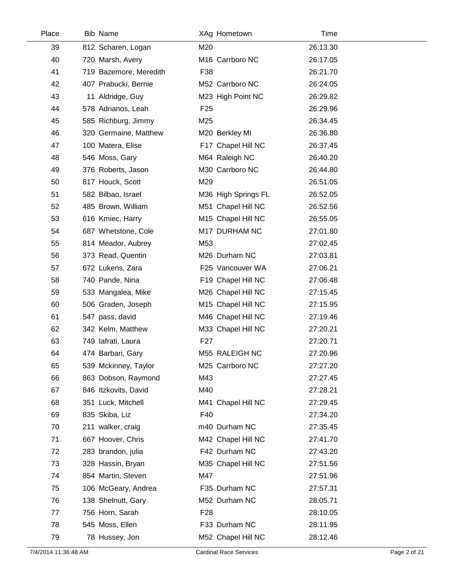| Place | <b>Bib Name</b>        | XAg Hometown        | Time     |  |
|-------|------------------------|---------------------|----------|--|
| 39    | 812 Scharen, Logan     | M20                 | 26:13.30 |  |
| 40    | 720 Marsh, Avery       | M16 Carrboro NC     | 26:17.05 |  |
| 41    | 719 Bazemore, Meredith | F38                 | 26:21.70 |  |
| 42    | 407 Prabucki, Bernie   | M52 Carrboro NC     | 26:24.05 |  |
| 43    | 11 Aldridge, Guy       | M23 High Point NC   | 26:29.82 |  |
| 44    | 578 Adrianos, Leah     | F <sub>25</sub>     | 26:29.96 |  |
| 45    | 585 Richburg, Jimmy    | M25                 | 26:34.45 |  |
| 46    | 320 Germaine, Matthew  | M20 Berkley MI      | 26:36.80 |  |
| 47    | 100 Matera, Elise      | F17 Chapel Hill NC  | 26:37.45 |  |
| 48    | 546 Moss, Gary         | M64 Raleigh NC      | 26:40.20 |  |
| 49    | 376 Roberts, Jason     | M30 Carrboro NC     | 26:44.80 |  |
| 50    | 817 Houck, Scott       | M29                 | 26:51.05 |  |
| 51    | 582 Bilbao, Israel     | M36 High Springs FL | 26:52.05 |  |
| 52    | 485 Brown, William     | M51 Chapel Hill NC  | 26:52.56 |  |
| 53    | 616 Kmiec, Harry       | M15 Chapel Hill NC  | 26:55.05 |  |
| 54    | 687 Whetstone, Cole    | M17 DURHAM NC       | 27:01.80 |  |
| 55    | 814 Meador, Aubrey     | M53                 | 27:02.45 |  |
| 56    | 373 Read, Quentin      | M26 Durham NC       | 27:03.81 |  |
| 57    | 672 Lukens, Zara       | F25 Vancouver WA    | 27:06.21 |  |
| 58    | 740 Pande, Nina        | F19 Chapel Hill NC  | 27:06.48 |  |
| 59    | 533 Mangalea, Mike     | M26 Chapel Hill NC  | 27:15.45 |  |
| 60    | 506 Graden, Joseph     | M15 Chapel Hill NC  | 27:15.95 |  |
| 61    | 547 pass, david        | M46 Chapel Hill NC  | 27:19.46 |  |
| 62    | 342 Kelm, Matthew      | M33 Chapel Hill NC  | 27:20.21 |  |
| 63    | 749 lafrati, Laura     | F <sub>27</sub>     | 27:20.71 |  |
| 64    | 474 Barbari, Gary      | M55 RALEIGH NC      | 27:20.96 |  |
| 65    | 539 Mckinney, Taylor   | M25 Carrboro NC     | 27:27.20 |  |
| 66    | 863 Dobson, Raymond    | M43                 | 27:27.45 |  |
| 67    | 846 Itzkovits, David   | M40                 | 27:28.21 |  |
| 68    | 351 Luck, Mitchell     | M41 Chapel Hill NC  | 27:29.45 |  |
| 69    | 835 Skiba, Liz         | F40                 | 27:34.20 |  |
| 70    | 211 walker, craig      | m40 Durham NC       | 27:35.45 |  |
| 71    | 667 Hoover, Chris      | M42 Chapel Hill NC  | 27:41.70 |  |
| 72    | 283 brandon, julia     | F42 Durham NC       | 27:43.20 |  |
| 73    | 328 Hassin, Bryan      | M35 Chapel Hill NC  | 27:51.56 |  |
| 74    | 854 Martin, Steven     | M47                 | 27:51.96 |  |
| 75    | 106 McGeary, Andrea    | F35 Durham NC       | 27:57.31 |  |
| 76    | 138 Shelnutt, Gary     | M52 Durham NC       | 28:05.71 |  |
| 77    | 756 Horn, Sarah        | F <sub>28</sub>     | 28:10.05 |  |
| 78    | 545 Moss, Ellen        | F33 Durham NC       | 28:11.95 |  |
| 79    | 78 Hussey, Jon         | M52 Chapel Hill NC  | 28:12.46 |  |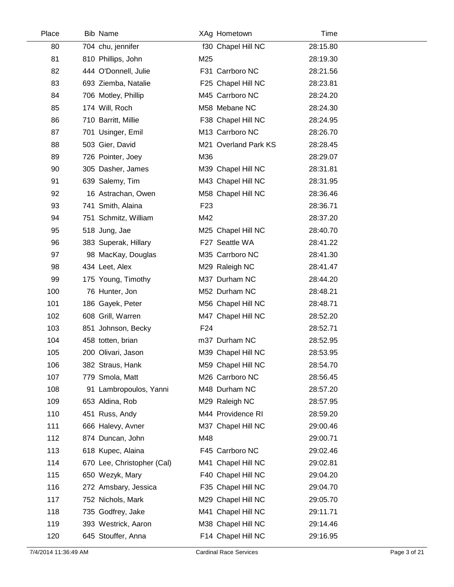| Place | Bib Name                   |                 | XAg Hometown         | Time     |  |
|-------|----------------------------|-----------------|----------------------|----------|--|
| 80    | 704 chu, jennifer          |                 | f30 Chapel Hill NC   | 28:15.80 |  |
| 81    | 810 Phillips, John         | M25             |                      | 28:19.30 |  |
| 82    | 444 O'Donnell, Julie       |                 | F31 Carrboro NC      | 28:21.56 |  |
| 83    | 693 Ziemba, Natalie        |                 | F25 Chapel Hill NC   | 28:23.81 |  |
| 84    | 706 Motley, Phillip        |                 | M45 Carrboro NC      | 28:24.20 |  |
| 85    | 174 Will, Roch             |                 | M58 Mebane NC        | 28:24.30 |  |
| 86    | 710 Barritt, Millie        |                 | F38 Chapel Hill NC   | 28:24.95 |  |
| 87    | 701 Usinger, Emil          |                 | M13 Carrboro NC      | 28:26.70 |  |
| 88    | 503 Gier, David            |                 | M21 Overland Park KS | 28:28.45 |  |
| 89    | 726 Pointer, Joey          | M36             |                      | 28:29.07 |  |
| 90    | 305 Dasher, James          |                 | M39 Chapel Hill NC   | 28:31.81 |  |
| 91    | 639 Salemy, Tim            |                 | M43 Chapel Hill NC   | 28:31.95 |  |
| 92    | 16 Astrachan, Owen         |                 | M58 Chapel Hill NC   | 28:36.46 |  |
| 93    | 741 Smith, Alaina          | F <sub>23</sub> |                      | 28:36.71 |  |
| 94    | 751 Schmitz, William       | M42             |                      | 28:37.20 |  |
| 95    | 518 Jung, Jae              |                 | M25 Chapel Hill NC   | 28:40.70 |  |
| 96    | 383 Superak, Hillary       |                 | F27 Seattle WA       | 28:41.22 |  |
| 97    | 98 MacKay, Douglas         |                 | M35 Carrboro NC      | 28:41.30 |  |
| 98    | 434 Leet, Alex             |                 | M29 Raleigh NC       | 28:41.47 |  |
| 99    | 175 Young, Timothy         |                 | M37 Durham NC        | 28:44.20 |  |
| 100   | 76 Hunter, Jon             |                 | M52 Durham NC        | 28:48.21 |  |
| 101   | 186 Gayek, Peter           |                 | M56 Chapel Hill NC   | 28:48.71 |  |
| 102   | 608 Grill, Warren          |                 | M47 Chapel Hill NC   | 28:52.20 |  |
| 103   | 851 Johnson, Becky         | F <sub>24</sub> |                      | 28:52.71 |  |
| 104   | 458 totten, brian          |                 | m37 Durham NC        | 28:52.95 |  |
| 105   | 200 Olivari, Jason         |                 | M39 Chapel Hill NC   | 28:53.95 |  |
| 106   | 382 Straus, Hank           |                 | M59 Chapel Hill NC   | 28:54.70 |  |
| 107   | 779 Smola, Matt            |                 | M26 Carrboro NC      | 28:56.45 |  |
| 108   | 91 Lambropoulos, Yanni     |                 | M48 Durham NC        | 28:57.20 |  |
| 109   | 653 Aldina, Rob            |                 | M29 Raleigh NC       | 28:57.95 |  |
| 110   | 451 Russ, Andy             |                 | M44 Providence RI    | 28:59.20 |  |
| 111   | 666 Halevy, Avner          |                 | M37 Chapel Hill NC   | 29:00.46 |  |
| 112   | 874 Duncan, John           | M48             |                      | 29:00.71 |  |
| 113   | 618 Kupec, Alaina          |                 | F45 Carrboro NC      | 29:02.46 |  |
| 114   | 670 Lee, Christopher (Cal) |                 | M41 Chapel Hill NC   | 29:02.81 |  |
| 115   | 650 Wezyk, Mary            |                 | F40 Chapel Hill NC   | 29:04.20 |  |
| 116   | 272 Amsbary, Jessica       |                 | F35 Chapel Hill NC   | 29:04.70 |  |
| 117   | 752 Nichols, Mark          |                 | M29 Chapel Hill NC   | 29:05.70 |  |
| 118   | 735 Godfrey, Jake          |                 | M41 Chapel Hill NC   | 29:11.71 |  |
| 119   | 393 Westrick, Aaron        |                 | M38 Chapel Hill NC   | 29:14.46 |  |
| 120   | 645 Stouffer, Anna         |                 | F14 Chapel Hill NC   | 29:16.95 |  |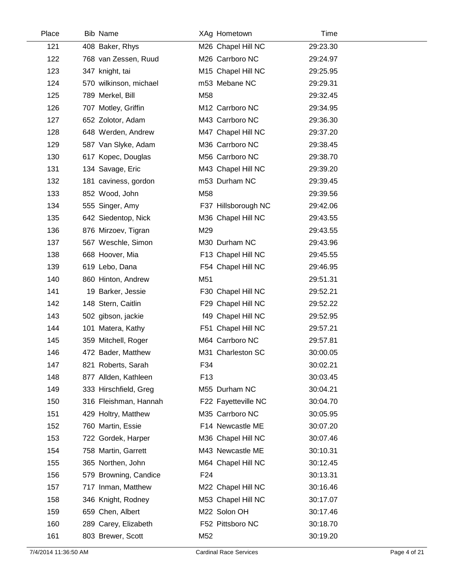| Place | <b>Bib Name</b>        | XAg Hometown        | Time     |  |
|-------|------------------------|---------------------|----------|--|
| 121   | 408 Baker, Rhys        | M26 Chapel Hill NC  | 29:23.30 |  |
| 122   | 768 van Zessen, Ruud   | M26 Carrboro NC     | 29:24.97 |  |
| 123   | 347 knight, tai        | M15 Chapel Hill NC  | 29:25.95 |  |
| 124   | 570 wilkinson, michael | m53 Mebane NC       | 29:29.31 |  |
| 125   | 789 Merkel, Bill       | M58                 | 29:32.45 |  |
| 126   | 707 Motley, Griffin    | M12 Carrboro NC     | 29:34.95 |  |
| 127   | 652 Zolotor, Adam      | M43 Carrboro NC     | 29:36.30 |  |
| 128   | 648 Werden, Andrew     | M47 Chapel Hill NC  | 29:37.20 |  |
| 129   | 587 Van Slyke, Adam    | M36 Carrboro NC     | 29:38.45 |  |
| 130   | 617 Kopec, Douglas     | M56 Carrboro NC     | 29:38.70 |  |
| 131   | 134 Savage, Eric       | M43 Chapel Hill NC  | 29:39.20 |  |
| 132   | 181 caviness, gordon   | m53 Durham NC       | 29:39.45 |  |
| 133   | 852 Wood, John         | M58                 | 29:39.56 |  |
| 134   | 555 Singer, Amy        | F37 Hillsborough NC | 29:42.06 |  |
| 135   | 642 Siedentop, Nick    | M36 Chapel Hill NC  | 29:43.55 |  |
| 136   | 876 Mirzoev, Tigran    | M29                 | 29:43.55 |  |
| 137   | 567 Weschle, Simon     | M30 Durham NC       | 29:43.96 |  |
| 138   | 668 Hoover, Mia        | F13 Chapel Hill NC  | 29:45.55 |  |
| 139   | 619 Lebo, Dana         | F54 Chapel Hill NC  | 29:46.95 |  |
| 140   | 860 Hinton, Andrew     | M51                 | 29:51.31 |  |
| 141   | 19 Barker, Jessie      | F30 Chapel Hill NC  | 29:52.21 |  |
| 142   | 148 Stern, Caitlin     | F29 Chapel Hill NC  | 29:52.22 |  |
| 143   | 502 gibson, jackie     | f49 Chapel Hill NC  | 29:52.95 |  |
| 144   | 101 Matera, Kathy      | F51 Chapel Hill NC  | 29:57.21 |  |
| 145   | 359 Mitchell, Roger    | M64 Carrboro NC     | 29:57.81 |  |
| 146   | 472 Bader, Matthew     | M31 Charleston SC   | 30:00.05 |  |
| 147   | 821 Roberts, Sarah     | F34                 | 30:02.21 |  |
| 148   | 877 Allden, Kathleen   | F <sub>13</sub>     | 30:03.45 |  |
| 149   | 333 Hirschfield, Greg  | M55 Durham NC       | 30:04.21 |  |
| 150   | 316 Fleishman, Hannah  | F22 Fayetteville NC | 30:04.70 |  |
| 151   | 429 Holtry, Matthew    | M35 Carrboro NC     | 30:05.95 |  |
| 152   | 760 Martin, Essie      | F14 Newcastle ME    | 30:07.20 |  |
| 153   | 722 Gordek, Harper     | M36 Chapel Hill NC  | 30:07.46 |  |
| 154   | 758 Martin, Garrett    | M43 Newcastle ME    | 30:10.31 |  |
| 155   | 365 Northen, John      | M64 Chapel Hill NC  | 30:12.45 |  |
| 156   | 579 Browning, Candice  | F <sub>24</sub>     | 30:13.31 |  |
| 157   | 717 Inman, Matthew     | M22 Chapel Hill NC  | 30:16.46 |  |
| 158   | 346 Knight, Rodney     | M53 Chapel Hill NC  | 30:17.07 |  |
| 159   | 659 Chen, Albert       | M22 Solon OH        | 30:17.46 |  |
| 160   | 289 Carey, Elizabeth   | F52 Pittsboro NC    | 30:18.70 |  |
| 161   | 803 Brewer, Scott      | M52                 | 30:19.20 |  |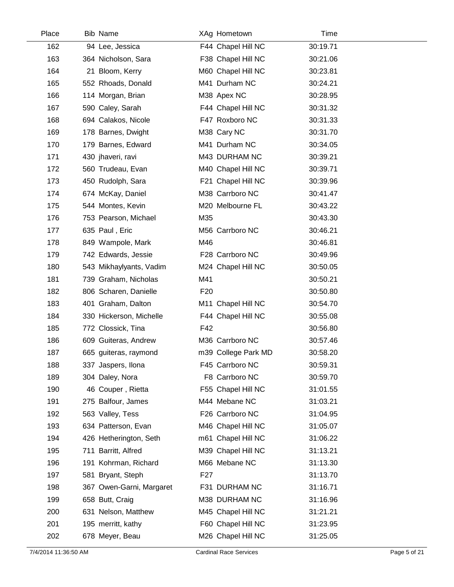| Place | Bib Name                 |                 | XAg Hometown        | Time     |  |
|-------|--------------------------|-----------------|---------------------|----------|--|
| 162   | 94 Lee, Jessica          |                 | F44 Chapel Hill NC  | 30:19.71 |  |
| 163   | 364 Nicholson, Sara      |                 | F38 Chapel Hill NC  | 30:21.06 |  |
| 164   | 21 Bloom, Kerry          |                 | M60 Chapel Hill NC  | 30:23.81 |  |
| 165   | 552 Rhoads, Donald       |                 | M41 Durham NC       | 30:24.21 |  |
| 166   | 114 Morgan, Brian        |                 | M38 Apex NC         | 30:28.95 |  |
| 167   | 590 Caley, Sarah         |                 | F44 Chapel Hill NC  | 30:31.32 |  |
| 168   | 694 Calakos, Nicole      |                 | F47 Roxboro NC      | 30:31.33 |  |
| 169   | 178 Barnes, Dwight       |                 | M38 Cary NC         | 30:31.70 |  |
| 170   | 179 Barnes, Edward       |                 | M41 Durham NC       | 30:34.05 |  |
| 171   | 430 jhaveri, ravi        |                 | M43 DURHAM NC       | 30:39.21 |  |
| 172   | 560 Trudeau, Evan        |                 | M40 Chapel Hill NC  | 30:39.71 |  |
| 173   | 450 Rudolph, Sara        |                 | F21 Chapel Hill NC  | 30:39.96 |  |
| 174   | 674 McKay, Daniel        |                 | M38 Carrboro NC     | 30:41.47 |  |
| 175   | 544 Montes, Kevin        |                 | M20 Melbourne FL    | 30:43.22 |  |
| 176   | 753 Pearson, Michael     | M35             |                     | 30:43.30 |  |
| 177   | 635 Paul, Eric           |                 | M56 Carrboro NC     | 30:46.21 |  |
| 178   | 849 Wampole, Mark        | M46             |                     | 30:46.81 |  |
| 179   | 742 Edwards, Jessie      |                 | F28 Carrboro NC     | 30:49.96 |  |
| 180   | 543 Mikhaylyants, Vadim  |                 | M24 Chapel Hill NC  | 30:50.05 |  |
| 181   | 739 Graham, Nicholas     | M41             |                     | 30:50.21 |  |
| 182   | 806 Scharen, Danielle    | F <sub>20</sub> |                     | 30:50.80 |  |
| 183   | 401 Graham, Dalton       |                 | M11 Chapel Hill NC  | 30:54.70 |  |
| 184   | 330 Hickerson, Michelle  |                 | F44 Chapel Hill NC  | 30:55.08 |  |
| 185   | 772 Clossick, Tina       | F42             |                     | 30:56.80 |  |
| 186   | 609 Guiteras, Andrew     |                 | M36 Carrboro NC     | 30:57.46 |  |
| 187   | 665 guiteras, raymond    |                 | m39 College Park MD | 30:58.20 |  |
| 188   | 337 Jaspers, Ilona       |                 | F45 Carrboro NC     | 30:59.31 |  |
| 189   | 304 Daley, Nora          |                 | F8 Carrboro NC      | 30:59.70 |  |
| 190   | 46 Couper, Rietta        |                 | F55 Chapel Hill NC  | 31:01.55 |  |
| 191   | 275 Balfour, James       |                 | M44 Mebane NC       | 31:03.21 |  |
| 192   | 563 Valley, Tess         |                 | F26 Carrboro NC     | 31:04.95 |  |
| 193   | 634 Patterson, Evan      |                 | M46 Chapel Hill NC  | 31:05.07 |  |
| 194   | 426 Hetherington, Seth   |                 | m61 Chapel Hill NC  | 31:06.22 |  |
| 195   | 711 Barritt, Alfred      |                 | M39 Chapel Hill NC  | 31:13.21 |  |
| 196   | 191 Kohrman, Richard     |                 | M66 Mebane NC       | 31:13.30 |  |
| 197   | 581 Bryant, Steph        | F <sub>27</sub> |                     | 31:13.70 |  |
| 198   | 367 Owen-Garni, Margaret |                 | F31 DURHAM NC       | 31:16.71 |  |
| 199   | 658 Butt, Craig          |                 | M38 DURHAM NC       | 31:16.96 |  |
| 200   | 631 Nelson, Matthew      |                 | M45 Chapel Hill NC  | 31:21.21 |  |
| 201   | 195 merritt, kathy       |                 | F60 Chapel Hill NC  | 31:23.95 |  |
| 202   | 678 Meyer, Beau          |                 | M26 Chapel Hill NC  | 31:25.05 |  |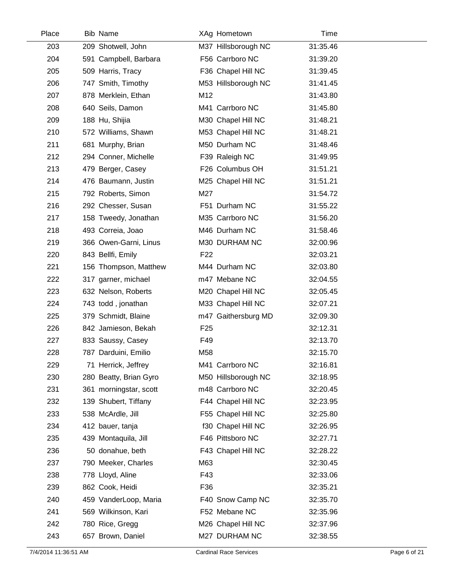| Place | <b>Bib Name</b>        | XAg Hometown        | Time     |  |
|-------|------------------------|---------------------|----------|--|
| 203   | 209 Shotwell, John     | M37 Hillsborough NC | 31:35.46 |  |
| 204   | 591 Campbell, Barbara  | F56 Carrboro NC     | 31:39.20 |  |
| 205   | 509 Harris, Tracy      | F36 Chapel Hill NC  | 31:39.45 |  |
| 206   | 747 Smith, Timothy     | M53 Hillsborough NC | 31:41.45 |  |
| 207   | 878 Merklein, Ethan    | M12                 | 31:43.80 |  |
| 208   | 640 Seils, Damon       | M41 Carrboro NC     | 31:45.80 |  |
| 209   | 188 Hu, Shijia         | M30 Chapel Hill NC  | 31:48.21 |  |
| 210   | 572 Williams, Shawn    | M53 Chapel Hill NC  | 31:48.21 |  |
| 211   | 681 Murphy, Brian      | M50 Durham NC       | 31:48.46 |  |
| 212   | 294 Conner, Michelle   | F39 Raleigh NC      | 31:49.95 |  |
| 213   | 479 Berger, Casey      | F26 Columbus OH     | 31:51.21 |  |
| 214   | 476 Baumann, Justin    | M25 Chapel Hill NC  | 31:51.21 |  |
| 215   | 792 Roberts, Simon     | M27                 | 31:54.72 |  |
| 216   | 292 Chesser, Susan     | F51 Durham NC       | 31:55.22 |  |
| 217   | 158 Tweedy, Jonathan   | M35 Carrboro NC     | 31:56.20 |  |
| 218   | 493 Correia, Joao      | M46 Durham NC       | 31:58.46 |  |
| 219   | 366 Owen-Garni, Linus  | M30 DURHAM NC       | 32:00.96 |  |
| 220   | 843 Bellfi, Emily      | F <sub>22</sub>     | 32:03.21 |  |
| 221   | 156 Thompson, Matthew  | M44 Durham NC       | 32:03.80 |  |
| 222   | 317 garner, michael    | m47 Mebane NC       | 32:04.55 |  |
| 223   | 632 Nelson, Roberts    | M20 Chapel Hill NC  | 32:05.45 |  |
| 224   | 743 todd, jonathan     | M33 Chapel Hill NC  | 32:07.21 |  |
| 225   | 379 Schmidt, Blaine    | m47 Gaithersburg MD | 32:09.30 |  |
| 226   | 842 Jamieson, Bekah    | F <sub>25</sub>     | 32:12.31 |  |
| 227   | 833 Saussy, Casey      | F49                 | 32:13.70 |  |
| 228   | 787 Darduini, Emilio   | M58                 | 32:15.70 |  |
| 229   | 71 Herrick, Jeffrey    | M41 Carrboro NC     | 32:16.81 |  |
| 230   | 280 Beatty, Brian Gyro | M50 Hillsborough NC | 32:18.95 |  |
| 231   | 361 morningstar, scott | m48 Carrboro NC     | 32:20.45 |  |
| 232   | 139 Shubert, Tiffany   | F44 Chapel Hill NC  | 32:23.95 |  |
| 233   | 538 McArdle, Jill      | F55 Chapel Hill NC  | 32:25.80 |  |
| 234   | 412 bauer, tanja       | f30 Chapel Hill NC  | 32:26.95 |  |
| 235   | 439 Montaquila, Jill   | F46 Pittsboro NC    | 32:27.71 |  |
| 236   | 50 donahue, beth       | F43 Chapel Hill NC  | 32:28.22 |  |
| 237   | 790 Meeker, Charles    | M63                 | 32:30.45 |  |
| 238   | 778 Lloyd, Aline       | F43                 | 32:33.06 |  |
| 239   | 862 Cook, Heidi        | F36                 | 32:35.21 |  |
| 240   | 459 VanderLoop, Maria  | F40 Snow Camp NC    | 32:35.70 |  |
| 241   | 569 Wilkinson, Kari    | F52 Mebane NC       | 32:35.96 |  |
| 242   | 780 Rice, Gregg        | M26 Chapel Hill NC  | 32:37.96 |  |
| 243   | 657 Brown, Daniel      | M27 DURHAM NC       | 32:38.55 |  |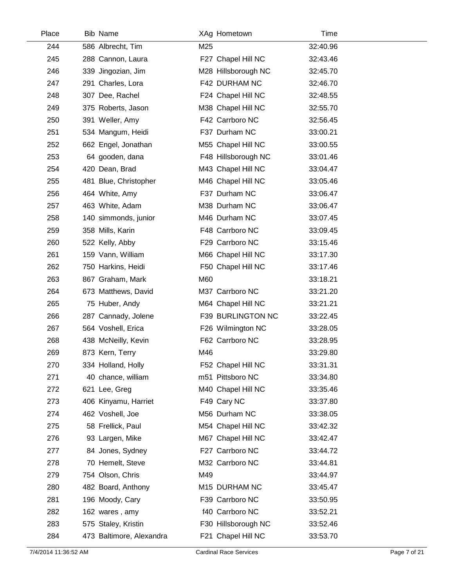| Place | <b>Bib Name</b>          |     | XAg Hometown        | Time     |  |
|-------|--------------------------|-----|---------------------|----------|--|
| 244   | 586 Albrecht, Tim        | M25 |                     | 32:40.96 |  |
| 245   | 288 Cannon, Laura        |     | F27 Chapel Hill NC  | 32:43.46 |  |
| 246   | 339 Jingozian, Jim       |     | M28 Hillsborough NC | 32:45.70 |  |
| 247   | 291 Charles, Lora        |     | F42 DURHAM NC       | 32:46.70 |  |
| 248   | 307 Dee, Rachel          |     | F24 Chapel Hill NC  | 32:48.55 |  |
| 249   | 375 Roberts, Jason       |     | M38 Chapel Hill NC  | 32:55.70 |  |
| 250   | 391 Weller, Amy          |     | F42 Carrboro NC     | 32:56.45 |  |
| 251   | 534 Mangum, Heidi        |     | F37 Durham NC       | 33:00.21 |  |
| 252   | 662 Engel, Jonathan      |     | M55 Chapel Hill NC  | 33:00.55 |  |
| 253   | 64 gooden, dana          |     | F48 Hillsborough NC | 33:01.46 |  |
| 254   | 420 Dean, Brad           |     | M43 Chapel Hill NC  | 33:04.47 |  |
| 255   | 481 Blue, Christopher    |     | M46 Chapel Hill NC  | 33:05.46 |  |
| 256   | 464 White, Amy           |     | F37 Durham NC       | 33:06.47 |  |
| 257   | 463 White, Adam          |     | M38 Durham NC       | 33:06.47 |  |
| 258   | 140 simmonds, junior     |     | M46 Durham NC       | 33:07.45 |  |
| 259   | 358 Mills, Karin         |     | F48 Carrboro NC     | 33:09.45 |  |
| 260   | 522 Kelly, Abby          |     | F29 Carrboro NC     | 33:15.46 |  |
| 261   | 159 Vann, William        |     | M66 Chapel Hill NC  | 33:17.30 |  |
| 262   | 750 Harkins, Heidi       |     | F50 Chapel Hill NC  | 33:17.46 |  |
| 263   | 867 Graham, Mark         | M60 |                     | 33:18.21 |  |
| 264   | 673 Matthews, David      |     | M37 Carrboro NC     | 33:21.20 |  |
| 265   | 75 Huber, Andy           |     | M64 Chapel Hill NC  | 33:21.21 |  |
| 266   | 287 Cannady, Jolene      |     | F39 BURLINGTON NC   | 33:22.45 |  |
| 267   | 564 Voshell, Erica       |     | F26 Wilmington NC   | 33:28.05 |  |
| 268   | 438 McNeilly, Kevin      |     | F62 Carrboro NC     | 33:28.95 |  |
| 269   | 873 Kern, Terry          | M46 |                     | 33:29.80 |  |
| 270   | 334 Holland, Holly       |     | F52 Chapel Hill NC  | 33:31.31 |  |
| 271   | 40 chance, william       |     | m51 Pittsboro NC    | 33:34.80 |  |
| 272   | 621 Lee, Greg            |     | M40 Chapel Hill NC  | 33:35.46 |  |
| 273   | 406 Kinyamu, Harriet     |     | F49 Cary NC         | 33:37.80 |  |
| 274   | 462 Voshell, Joe         |     | M56 Durham NC       | 33:38.05 |  |
| 275   | 58 Frellick, Paul        |     | M54 Chapel Hill NC  | 33:42.32 |  |
| 276   | 93 Largen, Mike          |     | M67 Chapel Hill NC  | 33:42.47 |  |
| 277   | 84 Jones, Sydney         |     | F27 Carrboro NC     | 33:44.72 |  |
| 278   | 70 Hemelt, Steve         |     | M32 Carrboro NC     | 33:44.81 |  |
| 279   | 754 Olson, Chris         | M49 |                     | 33:44.97 |  |
| 280   | 482 Board, Anthony       |     | M15 DURHAM NC       | 33:45.47 |  |
| 281   | 196 Moody, Cary          |     | F39 Carrboro NC     | 33:50.95 |  |
| 282   | 162 wares, amy           |     | f40 Carrboro NC     | 33:52.21 |  |
| 283   | 575 Staley, Kristin      |     | F30 Hillsborough NC | 33:52.46 |  |
| 284   | 473 Baltimore, Alexandra |     | F21 Chapel Hill NC  | 33:53.70 |  |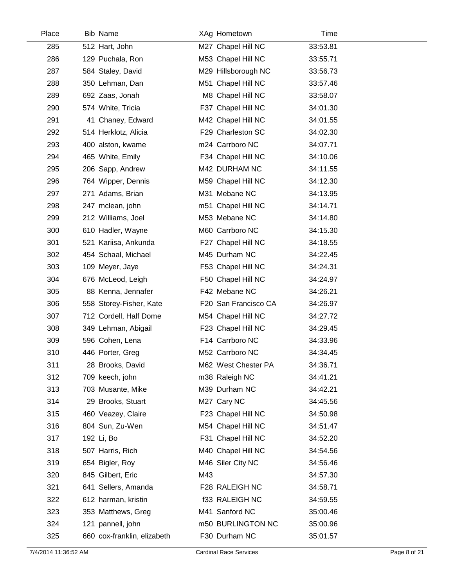| Place | <b>Bib Name</b>             |     | XAg Hometown         | Time     |  |
|-------|-----------------------------|-----|----------------------|----------|--|
| 285   | 512 Hart, John              |     | M27 Chapel Hill NC   | 33:53.81 |  |
| 286   | 129 Puchala, Ron            |     | M53 Chapel Hill NC   | 33:55.71 |  |
| 287   | 584 Staley, David           |     | M29 Hillsborough NC  | 33:56.73 |  |
| 288   | 350 Lehman, Dan             |     | M51 Chapel Hill NC   | 33:57.46 |  |
| 289   | 692 Zaas, Jonah             |     | M8 Chapel Hill NC    | 33:58.07 |  |
| 290   | 574 White, Tricia           |     | F37 Chapel Hill NC   | 34:01.30 |  |
| 291   | 41 Chaney, Edward           |     | M42 Chapel Hill NC   | 34:01.55 |  |
| 292   | 514 Herklotz, Alicia        |     | F29 Charleston SC    | 34:02.30 |  |
| 293   | 400 alston, kwame           |     | m24 Carrboro NC      | 34:07.71 |  |
| 294   | 465 White, Emily            |     | F34 Chapel Hill NC   | 34:10.06 |  |
| 295   | 206 Sapp, Andrew            |     | M42 DURHAM NC        | 34:11.55 |  |
| 296   | 764 Wipper, Dennis          |     | M59 Chapel Hill NC   | 34:12.30 |  |
| 297   | 271 Adams, Brian            |     | M31 Mebane NC        | 34:13.95 |  |
| 298   | 247 mclean, john            |     | m51 Chapel Hill NC   | 34:14.71 |  |
| 299   | 212 Williams, Joel          |     | M53 Mebane NC        | 34:14.80 |  |
| 300   | 610 Hadler, Wayne           |     | M60 Carrboro NC      | 34:15.30 |  |
| 301   | 521 Kariisa, Ankunda        |     | F27 Chapel Hill NC   | 34:18.55 |  |
| 302   | 454 Schaal, Michael         |     | M45 Durham NC        | 34:22.45 |  |
| 303   | 109 Meyer, Jaye             |     | F53 Chapel Hill NC   | 34:24.31 |  |
| 304   | 676 McLeod, Leigh           |     | F50 Chapel Hill NC   | 34:24.97 |  |
| 305   | 88 Kenna, Jennafer          |     | F42 Mebane NC        | 34:26.21 |  |
| 306   | 558 Storey-Fisher, Kate     |     | F20 San Francisco CA | 34:26.97 |  |
| 307   | 712 Cordell, Half Dome      |     | M54 Chapel Hill NC   | 34:27.72 |  |
| 308   | 349 Lehman, Abigail         |     | F23 Chapel Hill NC   | 34:29.45 |  |
| 309   | 596 Cohen, Lena             |     | F14 Carrboro NC      | 34:33.96 |  |
| 310   | 446 Porter, Greg            |     | M52 Carrboro NC      | 34:34.45 |  |
| 311   | 28 Brooks, David            |     | M62 West Chester PA  | 34:36.71 |  |
| 312   | 709 keech, john             |     | m38 Raleigh NC       | 34:41.21 |  |
| 313   | 703 Musante, Mike           |     | M39 Durham NC        | 34:42.21 |  |
| 314   | 29 Brooks, Stuart           |     | M27 Cary NC          | 34:45.56 |  |
| 315   | 460 Veazey, Claire          |     | F23 Chapel Hill NC   | 34:50.98 |  |
| 316   | 804 Sun, Zu-Wen             |     | M54 Chapel Hill NC   | 34:51.47 |  |
| 317   | 192 Li, Bo                  |     | F31 Chapel Hill NC   | 34:52.20 |  |
| 318   | 507 Harris, Rich            |     | M40 Chapel Hill NC   | 34:54.56 |  |
| 319   | 654 Bigler, Roy             |     | M46 Siler City NC    | 34:56.46 |  |
| 320   | 845 Gilbert, Eric           | M43 |                      | 34:57.30 |  |
| 321   | 641 Sellers, Amanda         |     | F28 RALEIGH NC       | 34:58.71 |  |
| 322   | 612 harman, kristin         |     | f33 RALEIGH NC       | 34:59.55 |  |
| 323   | 353 Matthews, Greg          |     | M41 Sanford NC       | 35:00.46 |  |
| 324   | 121 pannell, john           |     | m50 BURLINGTON NC    | 35:00.96 |  |
| 325   | 660 cox-franklin, elizabeth |     | F30 Durham NC        | 35:01.57 |  |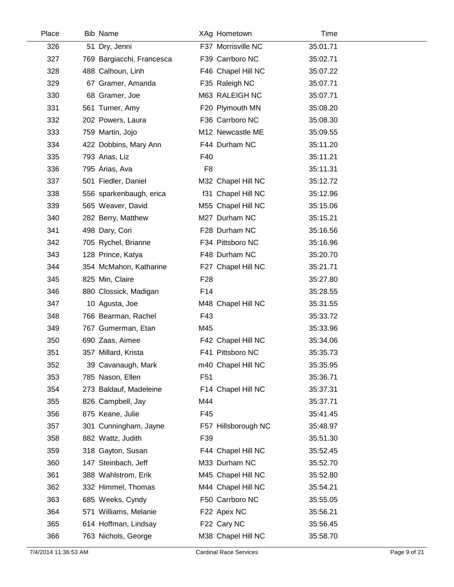| Place | <b>Bib Name</b>           |                 | XAg Hometown        | Time     |  |
|-------|---------------------------|-----------------|---------------------|----------|--|
| 326   | 51 Dry, Jenni             |                 | F37 Morrisville NC  | 35:01.71 |  |
| 327   | 769 Bargiacchi, Francesca |                 | F39 Carrboro NC     | 35:02.71 |  |
| 328   | 488 Calhoun, Linh         |                 | F46 Chapel Hill NC  | 35:07.22 |  |
| 329   | 67 Gramer, Amanda         |                 | F35 Raleigh NC      | 35:07.71 |  |
| 330   | 68 Gramer, Joe            |                 | M63 RALEIGH NC      | 35:07.71 |  |
| 331   | 561 Turner, Amy           |                 | F20 Plymouth MN     | 35:08.20 |  |
| 332   | 202 Powers, Laura         |                 | F36 Carrboro NC     | 35:08.30 |  |
| 333   | 759 Martin, Jojo          |                 | M12 Newcastle ME    | 35:09.55 |  |
| 334   | 422 Dobbins, Mary Ann     |                 | F44 Durham NC       | 35:11.20 |  |
| 335   | 793 Arias, Liz            | F40             |                     | 35:11.21 |  |
| 336   | 795 Arias, Ava            | F <sub>8</sub>  |                     | 35:11.31 |  |
| 337   | 501 Fiedler, Daniel       |                 | M32 Chapel Hill NC  | 35:12.72 |  |
| 338   | 556 sparkenbaugh, erica   |                 | f31 Chapel Hill NC  | 35:12.96 |  |
| 339   | 565 Weaver, David         |                 | M55 Chapel Hill NC  | 35:15.06 |  |
| 340   | 282 Berry, Matthew        |                 | M27 Durham NC       | 35:15.21 |  |
| 341   | 498 Dary, Cori            |                 | F28 Durham NC       | 35:16.56 |  |
| 342   | 705 Rychel, Brianne       |                 | F34 Pittsboro NC    | 35:16.96 |  |
| 343   | 128 Prince, Katya         |                 | F48 Durham NC       | 35:20.70 |  |
| 344   | 354 McMahon, Katharine    |                 | F27 Chapel Hill NC  | 35:21.71 |  |
| 345   | 825 Min, Claire           | F <sub>28</sub> |                     | 35:27.80 |  |
| 346   | 880 Clossick, Madigan     | F14             |                     | 35:28.55 |  |
| 347   | 10 Agusta, Joe            |                 | M48 Chapel Hill NC  | 35:31.55 |  |
| 348   | 766 Bearman, Rachel       | F43             |                     | 35:33.72 |  |
| 349   | 767 Gumerman, Etan        | M45             |                     | 35:33.96 |  |
| 350   | 690 Zaas, Aimee           |                 | F42 Chapel Hill NC  | 35:34.06 |  |
| 351   | 357 Millard, Krista       |                 | F41 Pittsboro NC    | 35:35.73 |  |
| 352   | 39 Cavanaugh, Mark        |                 | m40 Chapel Hill NC  | 35:35.95 |  |
| 353   | 785 Nason, Ellen          | F <sub>51</sub> |                     | 35:36.71 |  |
| 354   | 273 Baldauf, Madeleine    |                 | F14 Chapel Hill NC  | 35:37.31 |  |
| 355   | 826 Campbell, Jay         | M44             |                     | 35:37.71 |  |
| 356   | 875 Keane, Julie          | F45             |                     | 35:41.45 |  |
| 357   | 301 Cunningham, Jayne     |                 | F57 Hillsborough NC | 35:48.97 |  |
| 358   | 882 Wattz, Judith         | F39             |                     | 35:51.30 |  |
| 359   | 318 Gayton, Susan         |                 | F44 Chapel Hill NC  | 35:52.45 |  |
| 360   | 147 Steinbach, Jeff       |                 | M33 Durham NC       | 35:52.70 |  |
| 361   | 388 Wahlstrom, Erik       |                 | M45 Chapel Hill NC  | 35:52.80 |  |
| 362   | 332 Himmel, Thomas        |                 | M44 Chapel Hill NC  | 35:54.21 |  |
| 363   | 685 Weeks, Cyndy          |                 | F50 Carrboro NC     | 35:55.05 |  |
| 364   | 571 Williams, Melanie     |                 | F22 Apex NC         | 35:56.21 |  |
| 365   | 614 Hoffman, Lindsay      |                 | F22 Cary NC         | 35:56.45 |  |
| 366   | 763 Nichols, George       |                 | M38 Chapel Hill NC  | 35:58.70 |  |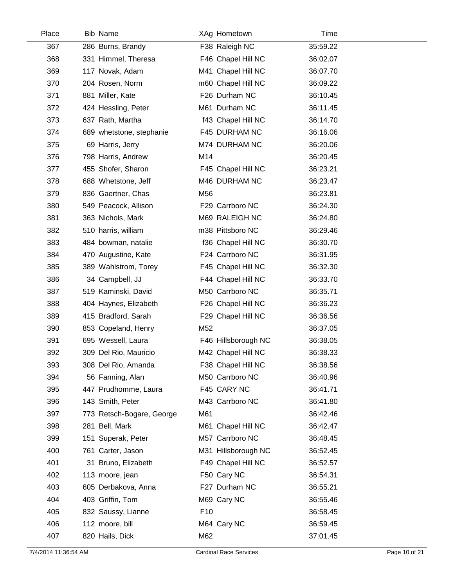| Place | <b>Bib Name</b>           |                 | XAg Hometown        | Time     |  |
|-------|---------------------------|-----------------|---------------------|----------|--|
| 367   | 286 Burns, Brandy         |                 | F38 Raleigh NC      | 35:59.22 |  |
| 368   | 331 Himmel, Theresa       |                 | F46 Chapel Hill NC  | 36:02.07 |  |
| 369   | 117 Novak, Adam           |                 | M41 Chapel Hill NC  | 36:07.70 |  |
| 370   | 204 Rosen, Norm           |                 | m60 Chapel Hill NC  | 36:09.22 |  |
| 371   | 881 Miller, Kate          |                 | F26 Durham NC       | 36:10.45 |  |
| 372   | 424 Hessling, Peter       |                 | M61 Durham NC       | 36:11.45 |  |
| 373   | 637 Rath, Martha          |                 | f43 Chapel Hill NC  | 36:14.70 |  |
| 374   | 689 whetstone, stephanie  |                 | F45 DURHAM NC       | 36:16.06 |  |
| 375   | 69 Harris, Jerry          |                 | M74 DURHAM NC       | 36:20.06 |  |
| 376   | 798 Harris, Andrew        | M14             |                     | 36:20.45 |  |
| 377   | 455 Shofer, Sharon        |                 | F45 Chapel Hill NC  | 36:23.21 |  |
| 378   | 688 Whetstone, Jeff       |                 | M46 DURHAM NC       | 36:23.47 |  |
| 379   | 836 Gaertner, Chas        | M56             |                     | 36:23.81 |  |
| 380   | 549 Peacock, Allison      |                 | F29 Carrboro NC     | 36:24.30 |  |
| 381   | 363 Nichols, Mark         |                 | M69 RALEIGH NC      | 36:24.80 |  |
| 382   | 510 harris, william       |                 | m38 Pittsboro NC    | 36:29.46 |  |
| 383   | 484 bowman, natalie       |                 | f36 Chapel Hill NC  | 36:30.70 |  |
| 384   | 470 Augustine, Kate       |                 | F24 Carrboro NC     | 36:31.95 |  |
| 385   | 389 Wahlstrom, Torey      |                 | F45 Chapel Hill NC  | 36:32.30 |  |
| 386   | 34 Campbell, JJ           |                 | F44 Chapel Hill NC  | 36:33.70 |  |
| 387   | 519 Kaminski, David       |                 | M50 Carrboro NC     | 36:35.71 |  |
| 388   | 404 Haynes, Elizabeth     |                 | F26 Chapel Hill NC  | 36:36.23 |  |
| 389   | 415 Bradford, Sarah       |                 | F29 Chapel Hill NC  | 36:36.56 |  |
| 390   | 853 Copeland, Henry       | M52             |                     | 36:37.05 |  |
| 391   | 695 Wessell, Laura        |                 | F46 Hillsborough NC | 36:38.05 |  |
| 392   | 309 Del Rio, Mauricio     |                 | M42 Chapel Hill NC  | 36:38.33 |  |
| 393   | 308 Del Rio, Amanda       |                 | F38 Chapel Hill NC  | 36:38.56 |  |
| 394   | 56 Fanning, Alan          |                 | M50 Carrboro NC     | 36:40.96 |  |
| 395   | 447 Prudhomme, Laura      |                 | F45 CARY NC         | 36:41.71 |  |
| 396   | 143 Smith, Peter          |                 | M43 Carrboro NC     | 36:41.80 |  |
| 397   | 773 Retsch-Bogare, George | M61             |                     | 36:42.46 |  |
| 398   | 281 Bell, Mark            |                 | M61 Chapel Hill NC  | 36:42.47 |  |
| 399   | 151 Superak, Peter        |                 | M57 Carrboro NC     | 36:48.45 |  |
| 400   | 761 Carter, Jason         |                 | M31 Hillsborough NC | 36:52.45 |  |
| 401   | 31 Bruno, Elizabeth       |                 | F49 Chapel Hill NC  | 36:52.57 |  |
| 402   | 113 moore, jean           |                 | F50 Cary NC         | 36:54.31 |  |
| 403   | 605 Derbakova, Anna       |                 | F27 Durham NC       | 36:55.21 |  |
| 404   | 403 Griffin, Tom          |                 | M69 Cary NC         | 36:55.46 |  |
| 405   | 832 Saussy, Lianne        | F <sub>10</sub> |                     | 36:58.45 |  |
| 406   | 112 moore, bill           |                 | M64 Cary NC         | 36:59.45 |  |
| 407   | 820 Hails, Dick           | M62             |                     | 37:01.45 |  |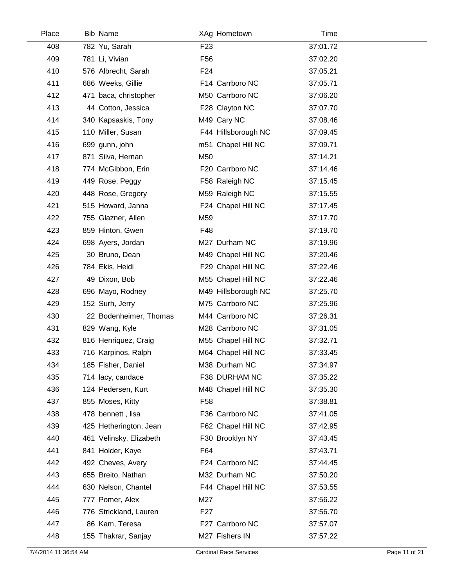| Place | <b>Bib Name</b>         | XAg Hometown        | Time     |  |
|-------|-------------------------|---------------------|----------|--|
| 408   | 782 Yu, Sarah           | F <sub>23</sub>     | 37:01.72 |  |
| 409   | 781 Li, Vivian          | F <sub>56</sub>     | 37:02.20 |  |
| 410   | 576 Albrecht, Sarah     | F <sub>24</sub>     | 37:05.21 |  |
| 411   | 686 Weeks, Gillie       | F14 Carrboro NC     | 37:05.71 |  |
| 412   | 471 baca, christopher   | M50 Carrboro NC     | 37:06.20 |  |
| 413   | 44 Cotton, Jessica      | F28 Clayton NC      | 37:07.70 |  |
| 414   | 340 Kapsaskis, Tony     | M49 Cary NC         | 37:08.46 |  |
| 415   | 110 Miller, Susan       | F44 Hillsborough NC | 37:09.45 |  |
| 416   | 699 gunn, john          | m51 Chapel Hill NC  | 37:09.71 |  |
| 417   | 871 Silva, Hernan       | M50                 | 37:14.21 |  |
| 418   | 774 McGibbon, Erin      | F20 Carrboro NC     | 37:14.46 |  |
| 419   | 449 Rose, Peggy         | F58 Raleigh NC      | 37:15.45 |  |
| 420   | 448 Rose, Gregory       | M59 Raleigh NC      | 37:15.55 |  |
| 421   | 515 Howard, Janna       | F24 Chapel Hill NC  | 37:17.45 |  |
| 422   | 755 Glazner, Allen      | M59                 | 37:17.70 |  |
| 423   | 859 Hinton, Gwen        | F48                 | 37:19.70 |  |
| 424   | 698 Ayers, Jordan       | M27 Durham NC       | 37:19.96 |  |
| 425   | 30 Bruno, Dean          | M49 Chapel Hill NC  | 37:20.46 |  |
| 426   | 784 Ekis, Heidi         | F29 Chapel Hill NC  | 37:22.46 |  |
| 427   | 49 Dixon, Bob           | M55 Chapel Hill NC  | 37:22.46 |  |
| 428   | 696 Mayo, Rodney        | M49 Hillsborough NC | 37:25.70 |  |
| 429   | 152 Surh, Jerry         | M75 Carrboro NC     | 37:25.96 |  |
| 430   | 22 Bodenheimer, Thomas  | M44 Carrboro NC     | 37:26.31 |  |
| 431   | 829 Wang, Kyle          | M28 Carrboro NC     | 37:31.05 |  |
| 432   | 816 Henriquez, Craig    | M55 Chapel Hill NC  | 37:32.71 |  |
| 433   | 716 Karpinos, Ralph     | M64 Chapel Hill NC  | 37:33.45 |  |
| 434   | 185 Fisher, Daniel      | M38 Durham NC       | 37:34.97 |  |
| 435   | 714 lacy, candace       | F38 DURHAM NC       | 37:35.22 |  |
| 436   | 124 Pedersen, Kurt      | M48 Chapel Hill NC  | 37:35.30 |  |
| 437   | 855 Moses, Kitty        | F <sub>58</sub>     | 37:38.81 |  |
| 438   | 478 bennett, lisa       | F36 Carrboro NC     | 37:41.05 |  |
| 439   | 425 Hetherington, Jean  | F62 Chapel Hill NC  | 37:42.95 |  |
| 440   | 461 Velinsky, Elizabeth | F30 Brooklyn NY     | 37:43.45 |  |
| 441   | 841 Holder, Kaye        | F64                 | 37:43.71 |  |
| 442   | 492 Cheves, Avery       | F24 Carrboro NC     | 37:44.45 |  |
| 443   | 655 Breito, Nathan      | M32 Durham NC       | 37:50.20 |  |
| 444   | 630 Nelson, Chantel     | F44 Chapel Hill NC  | 37:53.55 |  |
| 445   | 777 Pomer, Alex         | M27                 | 37:56.22 |  |
| 446   | 776 Strickland, Lauren  | F <sub>27</sub>     | 37:56.70 |  |
| 447   | 86 Kam, Teresa          | F27 Carrboro NC     | 37:57.07 |  |
| 448   | 155 Thakrar, Sanjay     | M27 Fishers IN      | 37:57.22 |  |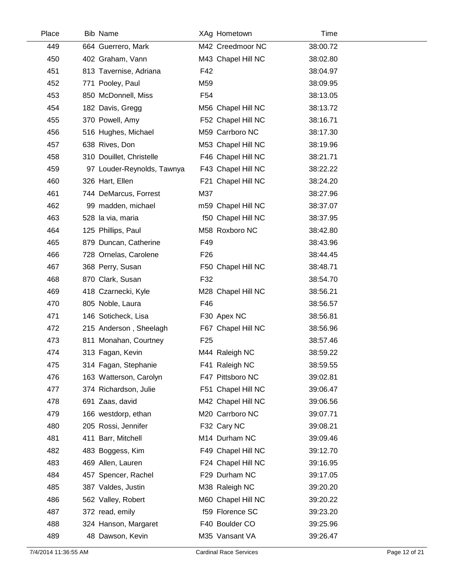| Place | <b>Bib Name</b>            | XAg Hometown       | Time     |  |
|-------|----------------------------|--------------------|----------|--|
| 449   | 664 Guerrero, Mark         | M42 Creedmoor NC   | 38:00.72 |  |
| 450   | 402 Graham, Vann           | M43 Chapel Hill NC | 38:02.80 |  |
| 451   | 813 Tavernise, Adriana     | F42                | 38:04.97 |  |
| 452   | 771 Pooley, Paul           | M59                | 38:09.95 |  |
| 453   | 850 McDonnell, Miss        | F <sub>54</sub>    | 38:13.05 |  |
| 454   | 182 Davis, Gregg           | M56 Chapel Hill NC | 38:13.72 |  |
| 455   | 370 Powell, Amy            | F52 Chapel Hill NC | 38:16.71 |  |
| 456   | 516 Hughes, Michael        | M59 Carrboro NC    | 38:17.30 |  |
| 457   | 638 Rives, Don             | M53 Chapel Hill NC | 38:19.96 |  |
| 458   | 310 Douillet, Christelle   | F46 Chapel Hill NC | 38:21.71 |  |
| 459   | 97 Louder-Reynolds, Tawnya | F43 Chapel Hill NC | 38:22.22 |  |
| 460   | 326 Hart, Ellen            | F21 Chapel Hill NC | 38:24.20 |  |
| 461   | 744 DeMarcus, Forrest      | M37                | 38:27.96 |  |
| 462   | 99 madden, michael         | m59 Chapel Hill NC | 38:37.07 |  |
| 463   | 528 la via, maria          | f50 Chapel Hill NC | 38:37.95 |  |
| 464   | 125 Phillips, Paul         | M58 Roxboro NC     | 38:42.80 |  |
| 465   | 879 Duncan, Catherine      | F49                | 38:43.96 |  |
| 466   | 728 Ornelas, Carolene      | F <sub>26</sub>    | 38:44.45 |  |
| 467   | 368 Perry, Susan           | F50 Chapel Hill NC | 38:48.71 |  |
| 468   | 870 Clark, Susan           | F32                | 38:54.70 |  |
| 469   | 418 Czarnecki, Kyle        | M28 Chapel Hill NC | 38:56.21 |  |
| 470   | 805 Noble, Laura           | F46                | 38:56.57 |  |
| 471   | 146 Soticheck, Lisa        | F30 Apex NC        | 38:56.81 |  |
| 472   | 215 Anderson, Sheelagh     | F67 Chapel Hill NC | 38:56.96 |  |
| 473   | 811 Monahan, Courtney      | F <sub>25</sub>    | 38:57.46 |  |
| 474   | 313 Fagan, Kevin           | M44 Raleigh NC     | 38:59.22 |  |
| 475   | 314 Fagan, Stephanie       | F41 Raleigh NC     | 38:59.55 |  |
| 476   | 163 Watterson, Carolyn     | F47 Pittsboro NC   | 39:02.81 |  |
| 477   | 374 Richardson, Julie      | F51 Chapel Hill NC | 39:06.47 |  |
| 478   | 691 Zaas, david            | M42 Chapel Hill NC | 39:06.56 |  |
| 479   | 166 westdorp, ethan        | M20 Carrboro NC    | 39:07.71 |  |
| 480   | 205 Rossi, Jennifer        | F32 Cary NC        | 39:08.21 |  |
| 481   | 411 Barr, Mitchell         | M14 Durham NC      | 39:09.46 |  |
| 482   | 483 Boggess, Kim           | F49 Chapel Hill NC | 39:12.70 |  |
| 483   | 469 Allen, Lauren          | F24 Chapel Hill NC | 39:16.95 |  |
| 484   | 457 Spencer, Rachel        | F29 Durham NC      | 39:17.05 |  |
| 485   | 387 Valdes, Justin         | M38 Raleigh NC     | 39:20.20 |  |
| 486   | 562 Valley, Robert         | M60 Chapel Hill NC | 39:20.22 |  |
| 487   | 372 read, emily            | f59 Florence SC    | 39:23.20 |  |
| 488   | 324 Hanson, Margaret       | F40 Boulder CO     | 39:25.96 |  |
| 489   | 48 Dawson, Kevin           | M35 Vansant VA     | 39:26.47 |  |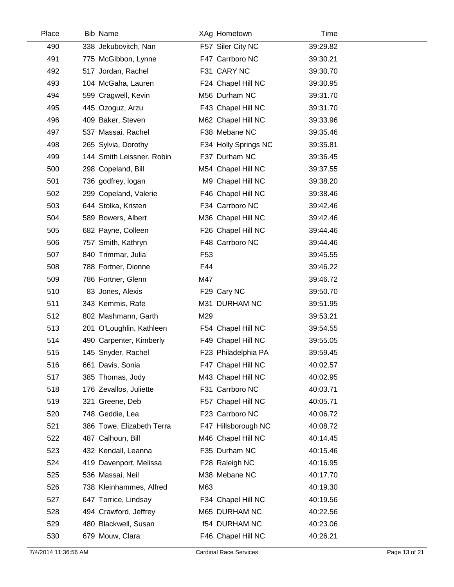| Place | Bib Name                  | XAg Hometown         | Time     |  |
|-------|---------------------------|----------------------|----------|--|
| 490   | 338 Jekubovitch, Nan      | F57 Siler City NC    | 39:29.82 |  |
| 491   | 775 McGibbon, Lynne       | F47 Carrboro NC      | 39:30.21 |  |
| 492   | 517 Jordan, Rachel        | F31 CARY NC          | 39:30.70 |  |
| 493   | 104 McGaha, Lauren        | F24 Chapel Hill NC   | 39:30.95 |  |
| 494   | 599 Cragwell, Kevin       | M56 Durham NC        | 39:31.70 |  |
| 495   | 445 Ozoguz, Arzu          | F43 Chapel Hill NC   | 39:31.70 |  |
| 496   | 409 Baker, Steven         | M62 Chapel Hill NC   | 39:33.96 |  |
| 497   | 537 Massai, Rachel        | F38 Mebane NC        | 39:35.46 |  |
| 498   | 265 Sylvia, Dorothy       | F34 Holly Springs NC | 39:35.81 |  |
| 499   | 144 Smith Leissner, Robin | F37 Durham NC        | 39:36.45 |  |
| 500   | 298 Copeland, Bill        | M54 Chapel Hill NC   | 39:37.55 |  |
| 501   | 736 godfrey, logan        | M9 Chapel Hill NC    | 39:38.20 |  |
| 502   | 299 Copeland, Valerie     | F46 Chapel Hill NC   | 39:38.46 |  |
| 503   | 644 Stolka, Kristen       | F34 Carrboro NC      | 39:42.46 |  |
| 504   | 589 Bowers, Albert        | M36 Chapel Hill NC   | 39:42.46 |  |
| 505   | 682 Payne, Colleen        | F26 Chapel Hill NC   | 39:44.46 |  |
| 506   | 757 Smith, Kathryn        | F48 Carrboro NC      | 39:44.46 |  |
| 507   | 840 Trimmar, Julia        | F <sub>53</sub>      | 39:45.55 |  |
| 508   | 788 Fortner, Dionne       | F44                  | 39:46.22 |  |
| 509   | 786 Fortner, Glenn        | M47                  | 39:46.72 |  |
| 510   | 83 Jones, Alexis          | F29 Cary NC          | 39:50.70 |  |
| 511   | 343 Kemmis, Rafe          | M31 DURHAM NC        | 39:51.95 |  |
| 512   | 802 Mashmann, Garth       | M29                  | 39:53.21 |  |
| 513   | 201 O'Loughlin, Kathleen  | F54 Chapel Hill NC   | 39:54.55 |  |
| 514   | 490 Carpenter, Kimberly   | F49 Chapel Hill NC   | 39:55.05 |  |
| 515   | 145 Snyder, Rachel        | F23 Philadelphia PA  | 39:59.45 |  |
| 516   | 661 Davis, Sonia          | F47 Chapel Hill NC   | 40:02.57 |  |
| 517   | 385 Thomas, Jody          | M43 Chapel Hill NC   | 40:02.95 |  |
| 518   | 176 Zevallos, Juliette    | F31 Carrboro NC      | 40:03.71 |  |
| 519   | 321 Greene, Deb           | F57 Chapel Hill NC   | 40:05.71 |  |
| 520   | 748 Geddie, Lea           | F23 Carrboro NC      | 40:06.72 |  |
| 521   | 386 Towe, Elizabeth Terra | F47 Hillsborough NC  | 40:08.72 |  |
| 522   | 487 Calhoun, Bill         | M46 Chapel Hill NC   | 40:14.45 |  |
| 523   | 432 Kendall, Leanna       | F35 Durham NC        | 40:15.46 |  |
| 524   | 419 Davenport, Melissa    | F28 Raleigh NC       | 40:16.95 |  |
| 525   | 536 Massai, Neil          | M38 Mebane NC        | 40:17.70 |  |
| 526   | 738 Kleinhammes, Alfred   | M63                  | 40:19.30 |  |
| 527   | 647 Torrice, Lindsay      | F34 Chapel Hill NC   | 40:19.56 |  |
| 528   | 494 Crawford, Jeffrey     | M65 DURHAM NC        | 40:22.56 |  |
| 529   | 480 Blackwell, Susan      | <b>f54 DURHAM NC</b> | 40:23.06 |  |
| 530   | 679 Mouw, Clara           | F46 Chapel Hill NC   | 40:26.21 |  |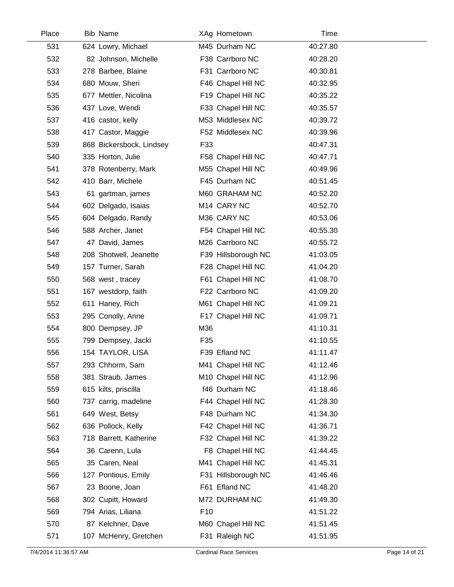| Place | <b>Bib Name</b>          |                 | XAg Hometown        | Time     |  |
|-------|--------------------------|-----------------|---------------------|----------|--|
| 531   | 624 Lowry, Michael       |                 | M45 Durham NC       | 40:27.80 |  |
| 532   | 82 Johnson, Michelle     |                 | F38 Carrboro NC     | 40:28.20 |  |
| 533   | 278 Barbee, Blaine       |                 | F31 Carrboro NC     | 40:30.81 |  |
| 534   | 680 Mouw, Sheri          |                 | F46 Chapel Hill NC  | 40:32.95 |  |
| 535   | 677 Mettler, Nicolina    |                 | F19 Chapel Hill NC  | 40:35.22 |  |
| 536   | 437 Love, Wendi          |                 | F33 Chapel Hill NC  | 40:35.57 |  |
| 537   | 416 castor, kelly        |                 | M53 Middlesex NC    | 40:39.72 |  |
| 538   | 417 Castor, Maggie       |                 | F52 Middlesex NC    | 40:39.96 |  |
| 539   | 868 Bickersbock, Lindsey | F33             |                     | 40:47.31 |  |
| 540   | 335 Horton, Julie        |                 | F58 Chapel Hill NC  | 40:47.71 |  |
| 541   | 378 Rotenberry, Mark     |                 | M55 Chapel Hill NC  | 40:49.96 |  |
| 542   | 410 Barr, Michele        |                 | F45 Durham NC       | 40:51.45 |  |
| 543   | 61 gartman, james        |                 | M60 GRAHAM NC       | 40:52.20 |  |
| 544   | 602 Delgado, Isaias      |                 | M14 CARY NC         | 40:52.70 |  |
| 545   | 604 Delgado, Randy       |                 | M36 CARY NC         | 40:53.06 |  |
| 546   | 588 Archer, Janet        |                 | F54 Chapel Hill NC  | 40:55.30 |  |
| 547   | 47 David, James          |                 | M26 Carrboro NC     | 40:55.72 |  |
| 548   | 208 Shotwell, Jeanette   |                 | F39 Hillsborough NC | 41:03.05 |  |
| 549   | 157 Turner, Sarah        |                 | F28 Chapel Hill NC  | 41:04.20 |  |
| 550   | 568 west, tracey         |                 | F61 Chapel Hill NC  | 41:08.70 |  |
| 551   | 167 westdorp, faith      |                 | F22 Carrboro NC     | 41:09.20 |  |
| 552   | 611 Haney, Rich          |                 | M61 Chapel Hill NC  | 41:09.21 |  |
| 553   | 295 Conolly, Anne        |                 | F17 Chapel Hill NC  | 41:09.71 |  |
| 554   | 800 Dempsey, JP          | M36             |                     | 41:10.31 |  |
| 555   | 799 Dempsey, Jacki       | F35             |                     | 41:10.55 |  |
| 556   | 154 TAYLOR, LISA         |                 | F39 Efland NC       | 41:11.47 |  |
| 557   | 293 Chhorm, Sam          |                 | M41 Chapel Hill NC  | 41:12.46 |  |
| 558   | 381 Straub, James        |                 | M10 Chapel Hill NC  | 41:12.96 |  |
| 559   | 615 kilts, priscilla     |                 | f46 Durham NC       | 41:18.46 |  |
| 560   | 737 carrig, madeline     |                 | F44 Chapel Hill NC  | 41:28.30 |  |
| 561   | 649 West, Betsy          |                 | F48 Durham NC       | 41:34.30 |  |
| 562   | 636 Pollock, Kelly       |                 | F42 Chapel Hill NC  | 41:36.71 |  |
| 563   | 718 Barrett, Katherine   |                 | F32 Chapel Hill NC  | 41:39.22 |  |
| 564   | 36 Carenn, Lula          |                 | F8 Chapel Hill NC   | 41:44.45 |  |
| 565   | 35 Caren, Neal           |                 | M41 Chapel Hill NC  | 41:45.31 |  |
| 566   | 127 Pontious, Emily      |                 | F31 Hillsborough NC | 41:46.46 |  |
| 567   | 23 Boone, Joan           |                 | F61 Efland NC       | 41:48.20 |  |
| 568   | 302 Cupitt, Howard       |                 | M72 DURHAM NC       | 41:49.30 |  |
| 569   | 794 Arias, Liliana       | F <sub>10</sub> |                     | 41:51.22 |  |
| 570   | 87 Kelchner, Dave        |                 | M60 Chapel Hill NC  | 41:51.45 |  |
| 571   | 107 McHenry, Gretchen    |                 | F31 Raleigh NC      | 41:51.95 |  |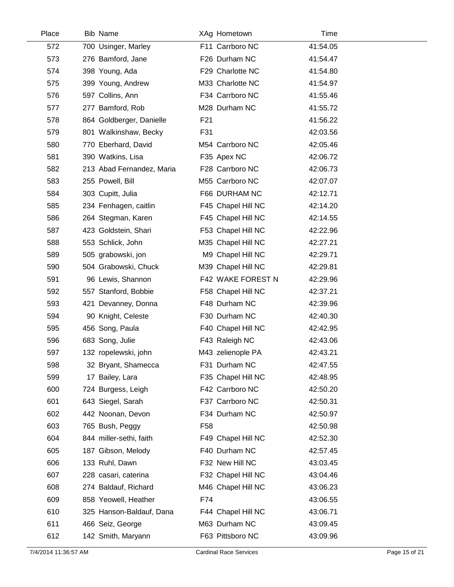| Place | <b>Bib Name</b>           | XAg Hometown       | Time     |  |
|-------|---------------------------|--------------------|----------|--|
| 572   | 700 Usinger, Marley       | F11 Carrboro NC    | 41:54.05 |  |
| 573   | 276 Bamford, Jane         | F26 Durham NC      | 41:54.47 |  |
| 574   | 398 Young, Ada            | F29 Charlotte NC   | 41:54.80 |  |
| 575   | 399 Young, Andrew         | M33 Charlotte NC   | 41:54.97 |  |
| 576   | 597 Collins, Ann          | F34 Carrboro NC    | 41:55.46 |  |
| 577   | 277 Bamford, Rob          | M28 Durham NC      | 41:55.72 |  |
| 578   | 864 Goldberger, Danielle  | F <sub>21</sub>    | 41:56.22 |  |
| 579   | 801 Walkinshaw, Becky     | F31                | 42:03.56 |  |
| 580   | 770 Eberhard, David       | M54 Carrboro NC    | 42:05.46 |  |
| 581   | 390 Watkins, Lisa         | F35 Apex NC        | 42:06.72 |  |
| 582   | 213 Abad Fernandez, Maria | F28 Carrboro NC    | 42:06.73 |  |
| 583   | 255 Powell, Bill          | M55 Carrboro NC    | 42:07.07 |  |
| 584   | 303 Cupitt, Julia         | F66 DURHAM NC      | 42:12.71 |  |
| 585   | 234 Fenhagen, caitlin     | F45 Chapel Hill NC | 42:14.20 |  |
| 586   | 264 Stegman, Karen        | F45 Chapel Hill NC | 42:14.55 |  |
| 587   | 423 Goldstein, Shari      | F53 Chapel Hill NC | 42:22.96 |  |
| 588   | 553 Schlick, John         | M35 Chapel Hill NC | 42:27.21 |  |
| 589   | 505 grabowski, jon        | M9 Chapel Hill NC  | 42:29.71 |  |
| 590   | 504 Grabowski, Chuck      | M39 Chapel Hill NC | 42:29.81 |  |
| 591   | 96 Lewis, Shannon         | F42 WAKE FOREST N  | 42:29.96 |  |
| 592   | 557 Stanford, Bobbie      | F58 Chapel Hill NC | 42:37.21 |  |
| 593   | 421 Devanney, Donna       | F48 Durham NC      | 42:39.96 |  |
| 594   | 90 Knight, Celeste        | F30 Durham NC      | 42:40.30 |  |
| 595   | 456 Song, Paula           | F40 Chapel Hill NC | 42:42.95 |  |
| 596   | 683 Song, Julie           | F43 Raleigh NC     | 42:43.06 |  |
| 597   | 132 ropelewski, john      | M43 zelienople PA  | 42:43.21 |  |
| 598   | 32 Bryant, Shamecca       | F31 Durham NC      | 42:47.55 |  |
| 599   | 17 Bailey, Lara           | F35 Chapel Hill NC | 42:48.95 |  |
| 600   | 724 Burgess, Leigh        | F42 Carrboro NC    | 42:50.20 |  |
| 601   | 643 Siegel, Sarah         | F37 Carrboro NC    | 42:50.31 |  |
| 602   | 442 Noonan, Devon         | F34 Durham NC      | 42:50.97 |  |
| 603   | 765 Bush, Peggy           | F58                | 42:50.98 |  |
| 604   | 844 miller-sethi, faith   | F49 Chapel Hill NC | 42:52.30 |  |
| 605   | 187 Gibson, Melody        | F40 Durham NC      | 42:57.45 |  |
| 606   | 133 Ruhl, Dawn            | F32 New Hill NC    | 43:03.45 |  |
| 607   | 228 casari, caterina      | F32 Chapel Hill NC | 43:04.46 |  |
| 608   | 274 Baldauf, Richard      | M46 Chapel Hill NC | 43:06.23 |  |
| 609   | 858 Yeowell, Heather      | F74                | 43:06.55 |  |
| 610   | 325 Hanson-Baldauf, Dana  | F44 Chapel Hill NC | 43:06.71 |  |
| 611   | 466 Seiz, George          | M63 Durham NC      | 43:09.45 |  |
| 612   | 142 Smith, Maryann        | F63 Pittsboro NC   | 43:09.96 |  |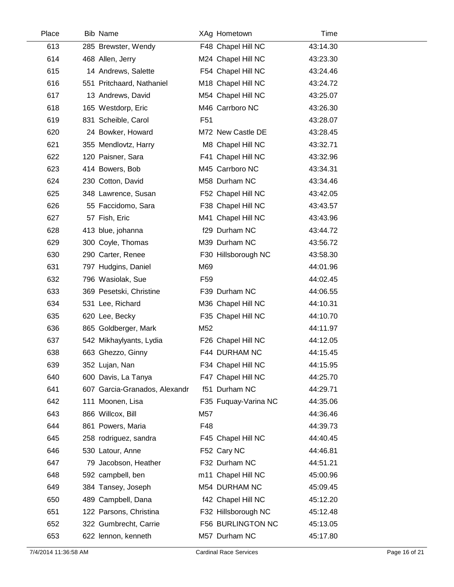| Place | <b>Bib Name</b>               |                 | XAg Hometown         | Time     |
|-------|-------------------------------|-----------------|----------------------|----------|
| 613   | 285 Brewster, Wendy           |                 | F48 Chapel Hill NC   | 43:14.30 |
| 614   | 468 Allen, Jerry              |                 | M24 Chapel Hill NC   | 43:23.30 |
| 615   | 14 Andrews, Salette           |                 | F54 Chapel Hill NC   | 43:24.46 |
| 616   | 551 Pritchaard, Nathaniel     |                 | M18 Chapel Hill NC   | 43:24.72 |
| 617   | 13 Andrews, David             |                 | M54 Chapel Hill NC   | 43:25.07 |
| 618   | 165 Westdorp, Eric            |                 | M46 Carrboro NC      | 43:26.30 |
| 619   | 831 Scheible, Carol           | F <sub>51</sub> |                      | 43:28.07 |
| 620   | 24 Bowker, Howard             |                 | M72 New Castle DE    | 43:28.45 |
| 621   | 355 Mendlovtz, Harry          |                 | M8 Chapel Hill NC    | 43:32.71 |
| 622   | 120 Paisner, Sara             |                 | F41 Chapel Hill NC   | 43:32.96 |
| 623   | 414 Bowers, Bob               |                 | M45 Carrboro NC      | 43:34.31 |
| 624   | 230 Cotton, David             |                 | M58 Durham NC        | 43:34.46 |
| 625   | 348 Lawrence, Susan           |                 | F52 Chapel Hill NC   | 43:42.05 |
| 626   | 55 Faccidomo, Sara            |                 | F38 Chapel Hill NC   | 43:43.57 |
| 627   | 57 Fish, Eric                 |                 | M41 Chapel Hill NC   | 43:43.96 |
| 628   | 413 blue, johanna             |                 | f29 Durham NC        | 43:44.72 |
| 629   | 300 Coyle, Thomas             |                 | M39 Durham NC        | 43:56.72 |
| 630   | 290 Carter, Renee             |                 | F30 Hillsborough NC  | 43:58.30 |
| 631   | 797 Hudgins, Daniel           | M69             |                      | 44:01.96 |
| 632   | 796 Wasiolak, Sue             | F <sub>59</sub> |                      | 44:02.45 |
| 633   | 369 Pesetski, Christine       |                 | F39 Durham NC        | 44:06.55 |
| 634   | 531 Lee, Richard              |                 | M36 Chapel Hill NC   | 44:10.31 |
| 635   | 620 Lee, Becky                |                 | F35 Chapel Hill NC   | 44:10.70 |
| 636   | 865 Goldberger, Mark          | M52             |                      | 44:11.97 |
| 637   | 542 Mikhaylyants, Lydia       |                 | F26 Chapel Hill NC   | 44:12.05 |
| 638   | 663 Ghezzo, Ginny             |                 | F44 DURHAM NC        | 44:15.45 |
| 639   | 352 Lujan, Nan                |                 | F34 Chapel Hill NC   | 44:15.95 |
| 640   | 600 Davis, La Tanya           |                 | F47 Chapel Hill NC   | 44:25.70 |
| 641   | 607 Garcia-Granados, Alexandr |                 | f51 Durham NC        | 44:29.71 |
| 642   | 111 Moonen, Lisa              |                 | F35 Fuquay-Varina NC | 44:35.06 |
| 643   | 866 Willcox, Bill             | M57             |                      | 44:36.46 |
| 644   | 861 Powers, Maria             | F48             |                      | 44:39.73 |
| 645   | 258 rodriguez, sandra         |                 | F45 Chapel Hill NC   | 44:40.45 |
| 646   | 530 Latour, Anne              |                 | F52 Cary NC          | 44:46.81 |
| 647   | 79 Jacobson, Heather          |                 | F32 Durham NC        | 44:51.21 |
| 648   | 592 campbell, ben             |                 | m11 Chapel Hill NC   | 45:00.96 |
| 649   | 384 Tansey, Joseph            |                 | M54 DURHAM NC        | 45:09.45 |
| 650   | 489 Campbell, Dana            |                 | f42 Chapel Hill NC   | 45:12.20 |
| 651   | 122 Parsons, Christina        |                 | F32 Hillsborough NC  | 45:12.48 |
| 652   | 322 Gumbrecht, Carrie         |                 | F56 BURLINGTON NC    | 45:13.05 |
| 653   | 622 lennon, kenneth           |                 | M57 Durham NC        | 45:17.80 |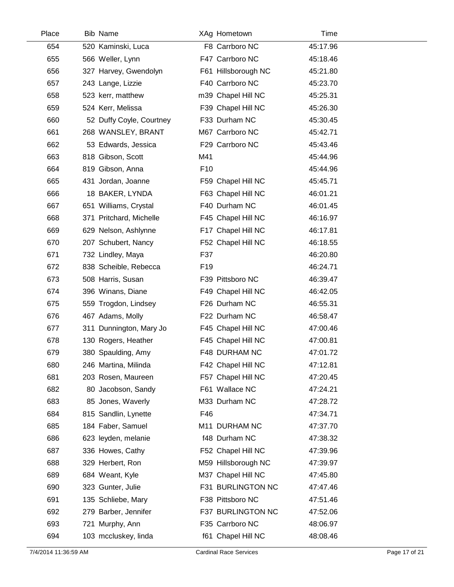| Place | <b>Bib Name</b>          | XAg Hometown        | Time     |  |
|-------|--------------------------|---------------------|----------|--|
| 654   | 520 Kaminski, Luca       | F8 Carrboro NC      | 45:17.96 |  |
| 655   | 566 Weller, Lynn         | F47 Carrboro NC     | 45:18.46 |  |
| 656   | 327 Harvey, Gwendolyn    | F61 Hillsborough NC | 45:21.80 |  |
| 657   | 243 Lange, Lizzie        | F40 Carrboro NC     | 45:23.70 |  |
| 658   | 523 kerr, matthew        | m39 Chapel Hill NC  | 45:25.31 |  |
| 659   | 524 Kerr, Melissa        | F39 Chapel Hill NC  | 45:26.30 |  |
| 660   | 52 Duffy Coyle, Courtney | F33 Durham NC       | 45:30.45 |  |
| 661   | 268 WANSLEY, BRANT       | M67 Carrboro NC     | 45:42.71 |  |
| 662   | 53 Edwards, Jessica      | F29 Carrboro NC     | 45:43.46 |  |
| 663   | 818 Gibson, Scott        | M41                 | 45:44.96 |  |
| 664   | 819 Gibson, Anna         | F <sub>10</sub>     | 45:44.96 |  |
| 665   | 431 Jordan, Joanne       | F59 Chapel Hill NC  | 45:45.71 |  |
| 666   | 18 BAKER, LYNDA          | F63 Chapel Hill NC  | 46:01.21 |  |
| 667   | 651 Williams, Crystal    | F40 Durham NC       | 46:01.45 |  |
| 668   | 371 Pritchard, Michelle  | F45 Chapel Hill NC  | 46:16.97 |  |
| 669   | 629 Nelson, Ashlynne     | F17 Chapel Hill NC  | 46:17.81 |  |
| 670   | 207 Schubert, Nancy      | F52 Chapel Hill NC  | 46:18.55 |  |
| 671   | 732 Lindley, Maya        | F37                 | 46:20.80 |  |
| 672   | 838 Scheible, Rebecca    | F <sub>19</sub>     | 46:24.71 |  |
| 673   | 508 Harris, Susan        | F39 Pittsboro NC    | 46:39.47 |  |
| 674   | 396 Winans, Diane        | F49 Chapel Hill NC  | 46:42.05 |  |
| 675   | 559 Trogdon, Lindsey     | F26 Durham NC       | 46:55.31 |  |
| 676   | 467 Adams, Molly         | F22 Durham NC       | 46:58.47 |  |
| 677   | 311 Dunnington, Mary Jo  | F45 Chapel Hill NC  | 47:00.46 |  |
| 678   | 130 Rogers, Heather      | F45 Chapel Hill NC  | 47:00.81 |  |
| 679   | 380 Spaulding, Amy       | F48 DURHAM NC       | 47:01.72 |  |
| 680   | 246 Martina, Milinda     | F42 Chapel Hill NC  | 47:12.81 |  |
| 681   | 203 Rosen, Maureen       | F57 Chapel Hill NC  | 47:20.45 |  |
| 682   | 80 Jacobson, Sandy       | F61 Wallace NC      | 47:24.21 |  |
| 683   | 85 Jones, Waverly        | M33 Durham NC       | 47:28.72 |  |
| 684   | 815 Sandlin, Lynette     | F46                 | 47:34.71 |  |
| 685   | 184 Faber, Samuel        | M11 DURHAM NC       | 47:37.70 |  |
| 686   | 623 leyden, melanie      | f48 Durham NC       | 47:38.32 |  |
| 687   | 336 Howes, Cathy         | F52 Chapel Hill NC  | 47:39.96 |  |
| 688   | 329 Herbert, Ron         | M59 Hillsborough NC | 47:39.97 |  |
| 689   | 684 Weant, Kyle          | M37 Chapel Hill NC  | 47:45.80 |  |
| 690   | 323 Gunter, Julie        | F31 BURLINGTON NC   | 47:47.46 |  |
| 691   | 135 Schliebe, Mary       | F38 Pittsboro NC    | 47:51.46 |  |
| 692   | 279 Barber, Jennifer     | F37 BURLINGTON NC   | 47:52.06 |  |
| 693   | 721 Murphy, Ann          | F35 Carrboro NC     | 48:06.97 |  |
| 694   | 103 mccluskey, linda     | f61 Chapel Hill NC  | 48:08.46 |  |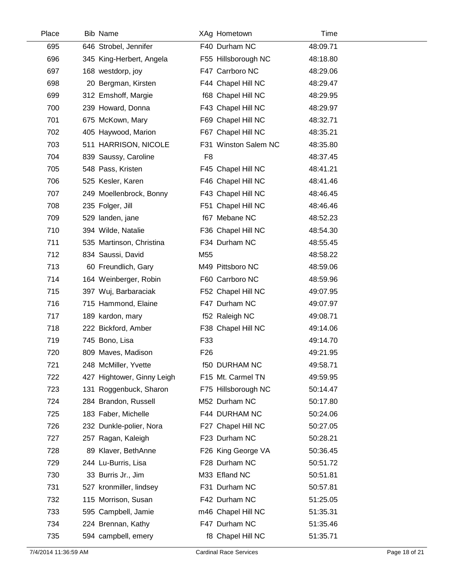| Place | <b>Bib Name</b>            | XAg Hometown         | Time     |  |
|-------|----------------------------|----------------------|----------|--|
| 695   | 646 Strobel, Jennifer      | F40 Durham NC        | 48:09.71 |  |
| 696   | 345 King-Herbert, Angela   | F55 Hillsborough NC  | 48:18.80 |  |
| 697   | 168 westdorp, joy          | F47 Carrboro NC      | 48:29.06 |  |
| 698   | 20 Bergman, Kirsten        | F44 Chapel Hill NC   | 48:29.47 |  |
| 699   | 312 Emshoff, Margie        | f68 Chapel Hill NC   | 48:29.95 |  |
| 700   | 239 Howard, Donna          | F43 Chapel Hill NC   | 48:29.97 |  |
| 701   | 675 McKown, Mary           | F69 Chapel Hill NC   | 48:32.71 |  |
| 702   | 405 Haywood, Marion        | F67 Chapel Hill NC   | 48:35.21 |  |
| 703   | 511 HARRISON, NICOLE       | F31 Winston Salem NC | 48:35.80 |  |
| 704   | 839 Saussy, Caroline       | F <sub>8</sub>       | 48:37.45 |  |
| 705   | 548 Pass, Kristen          | F45 Chapel Hill NC   | 48:41.21 |  |
| 706   | 525 Kesler, Karen          | F46 Chapel Hill NC   | 48:41.46 |  |
| 707   | 249 Moellenbrock, Bonny    | F43 Chapel Hill NC   | 48:46.45 |  |
| 708   | 235 Folger, Jill           | F51 Chapel Hill NC   | 48:46.46 |  |
| 709   | 529 landen, jane           | f67 Mebane NC        | 48:52.23 |  |
| 710   | 394 Wilde, Natalie         | F36 Chapel Hill NC   | 48:54.30 |  |
| 711   | 535 Martinson, Christina   | F34 Durham NC        | 48:55.45 |  |
| 712   | 834 Saussi, David          | M <sub>55</sub>      | 48:58.22 |  |
| 713   | 60 Freundlich, Gary        | M49 Pittsboro NC     | 48:59.06 |  |
| 714   | 164 Weinberger, Robin      | F60 Carrboro NC      | 48:59.96 |  |
| 715   | 397 Wuj, Barbaraciak       | F52 Chapel Hill NC   | 49:07.95 |  |
| 716   | 715 Hammond, Elaine        | F47 Durham NC        | 49:07.97 |  |
| 717   | 189 kardon, mary           | f52 Raleigh NC       | 49:08.71 |  |
| 718   | 222 Bickford, Amber        | F38 Chapel Hill NC   | 49:14.06 |  |
| 719   | 745 Bono, Lisa             | F33                  | 49:14.70 |  |
| 720   | 809 Maves, Madison         | F <sub>26</sub>      | 49:21.95 |  |
| 721   | 248 McMiller, Yvette       | <b>f50 DURHAM NC</b> | 49:58.71 |  |
| 722   | 427 Hightower, Ginny Leigh | F15 Mt. Carmel TN    | 49:59.95 |  |
| 723   | 131 Roggenbuck, Sharon     | F75 Hillsborough NC  | 50:14.47 |  |
| 724   | 284 Brandon, Russell       | M52 Durham NC        | 50:17.80 |  |
| 725   | 183 Faber, Michelle        | F44 DURHAM NC        | 50:24.06 |  |
| 726   | 232 Dunkle-polier, Nora    | F27 Chapel Hill NC   | 50:27.05 |  |
| 727   | 257 Ragan, Kaleigh         | F23 Durham NC        | 50:28.21 |  |
| 728   | 89 Klaver, BethAnne        | F26 King George VA   | 50:36.45 |  |
| 729   | 244 Lu-Burris, Lisa        | F28 Durham NC        | 50:51.72 |  |
| 730   | 33 Burris Jr., Jim         | M33 Efland NC        | 50:51.81 |  |
| 731   | 527 kronmiller, lindsey    | F31 Durham NC        | 50:57.81 |  |
| 732   | 115 Morrison, Susan        | F42 Durham NC        | 51:25.05 |  |
| 733   | 595 Campbell, Jamie        | m46 Chapel Hill NC   | 51:35.31 |  |
| 734   | 224 Brennan, Kathy         | F47 Durham NC        | 51:35.46 |  |
| 735   | 594 campbell, emery        | f8 Chapel Hill NC    | 51:35.71 |  |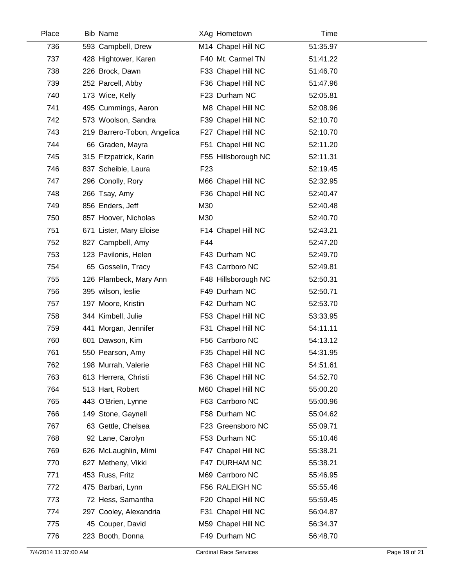| Place | <b>Bib Name</b>             | XAg Hometown        | Time     |  |
|-------|-----------------------------|---------------------|----------|--|
| 736   | 593 Campbell, Drew          | M14 Chapel Hill NC  | 51:35.97 |  |
| 737   | 428 Hightower, Karen        | F40 Mt. Carmel TN   | 51:41.22 |  |
| 738   | 226 Brock, Dawn             | F33 Chapel Hill NC  | 51:46.70 |  |
| 739   | 252 Parcell, Abby           | F36 Chapel Hill NC  | 51:47.96 |  |
| 740   | 173 Wice, Kelly             | F23 Durham NC       | 52:05.81 |  |
| 741   | 495 Cummings, Aaron         | M8 Chapel Hill NC   | 52:08.96 |  |
| 742   | 573 Woolson, Sandra         | F39 Chapel Hill NC  | 52:10.70 |  |
| 743   | 219 Barrero-Tobon, Angelica | F27 Chapel Hill NC  | 52:10.70 |  |
| 744   | 66 Graden, Mayra            | F51 Chapel Hill NC  | 52:11.20 |  |
| 745   | 315 Fitzpatrick, Karin      | F55 Hillsborough NC | 52:11.31 |  |
| 746   | 837 Scheible, Laura         | F <sub>23</sub>     | 52:19.45 |  |
| 747   | 296 Conolly, Rory           | M66 Chapel Hill NC  | 52:32.95 |  |
| 748   | 266 Tsay, Amy               | F36 Chapel Hill NC  | 52:40.47 |  |
| 749   | 856 Enders, Jeff            | M30                 | 52:40.48 |  |
| 750   | 857 Hoover, Nicholas        | M30                 | 52:40.70 |  |
| 751   | 671 Lister, Mary Eloise     | F14 Chapel Hill NC  | 52:43.21 |  |
| 752   | 827 Campbell, Amy           | F44                 | 52:47.20 |  |
| 753   | 123 Pavilonis, Helen        | F43 Durham NC       | 52:49.70 |  |
| 754   | 65 Gosselin, Tracy          | F43 Carrboro NC     | 52:49.81 |  |
| 755   | 126 Plambeck, Mary Ann      | F48 Hillsborough NC | 52:50.31 |  |
| 756   | 395 wilson, leslie          | F49 Durham NC       | 52:50.71 |  |
| 757   | 197 Moore, Kristin          | F42 Durham NC       | 52:53.70 |  |
| 758   | 344 Kimbell, Julie          | F53 Chapel Hill NC  | 53:33.95 |  |
| 759   | 441 Morgan, Jennifer        | F31 Chapel Hill NC  | 54:11.11 |  |
| 760   | 601 Dawson, Kim             | F56 Carrboro NC     | 54:13.12 |  |
| 761   | 550 Pearson, Amy            | F35 Chapel Hill NC  | 54:31.95 |  |
| 762   | 198 Murrah, Valerie         | F63 Chapel Hill NC  | 54:51.61 |  |
| 763   | 613 Herrera, Christi        | F36 Chapel Hill NC  | 54:52.70 |  |
| 764   | 513 Hart, Robert            | M60 Chapel Hill NC  | 55:00.20 |  |
| 765   | 443 O'Brien, Lynne          | F63 Carrboro NC     | 55:00.96 |  |
| 766   | 149 Stone, Gaynell          | F58 Durham NC       | 55:04.62 |  |
| 767   | 63 Gettle, Chelsea          | F23 Greensboro NC   | 55:09.71 |  |
| 768   | 92 Lane, Carolyn            | F53 Durham NC       | 55:10.46 |  |
| 769   | 626 McLaughlin, Mimi        | F47 Chapel Hill NC  | 55:38.21 |  |
| 770   | 627 Metheny, Vikki          | F47 DURHAM NC       | 55:38.21 |  |
| 771   | 453 Russ, Fritz             | M69 Carrboro NC     | 55:46.95 |  |
| 772   | 475 Barbari, Lynn           | F56 RALEIGH NC      | 55:55.46 |  |
| 773   | 72 Hess, Samantha           | F20 Chapel Hill NC  | 55:59.45 |  |
| 774   | 297 Cooley, Alexandria      | F31 Chapel Hill NC  | 56:04.87 |  |
| 775   | 45 Couper, David            | M59 Chapel Hill NC  | 56:34.37 |  |
| 776   | 223 Booth, Donna            | F49 Durham NC       | 56:48.70 |  |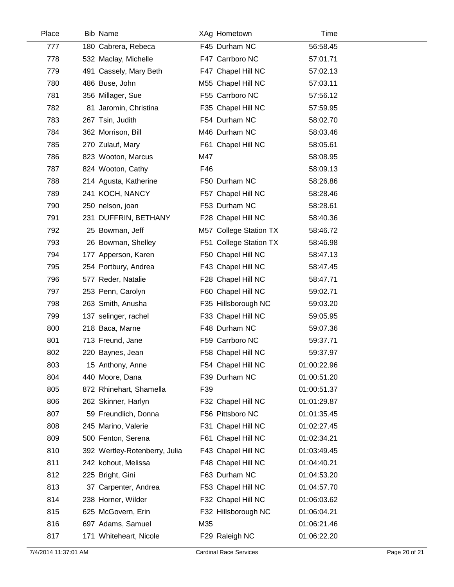| Place | <b>Bib Name</b>               | XAg Hometown           | Time        |  |
|-------|-------------------------------|------------------------|-------------|--|
| 777   | 180 Cabrera, Rebeca           | F45 Durham NC          | 56:58.45    |  |
| 778   | 532 Maclay, Michelle          | F47 Carrboro NC        | 57:01.71    |  |
| 779   | 491 Cassely, Mary Beth        | F47 Chapel Hill NC     | 57:02.13    |  |
| 780   | 486 Buse, John                | M55 Chapel Hill NC     | 57:03.11    |  |
| 781   | 356 Millager, Sue             | F55 Carrboro NC        | 57:56.12    |  |
| 782   | 81 Jaromin, Christina         | F35 Chapel Hill NC     | 57:59.95    |  |
| 783   | 267 Tsin, Judith              | F54 Durham NC          | 58:02.70    |  |
| 784   | 362 Morrison, Bill            | M46 Durham NC          | 58:03.46    |  |
| 785   | 270 Zulauf, Mary              | F61 Chapel Hill NC     | 58:05.61    |  |
| 786   | 823 Wooton, Marcus            | M47                    | 58:08.95    |  |
| 787   | 824 Wooton, Cathy             | F46                    | 58:09.13    |  |
| 788   | 214 Agusta, Katherine         | F50 Durham NC          | 58:26.86    |  |
| 789   | 241 KOCH, NANCY               | F57 Chapel Hill NC     | 58:28.46    |  |
| 790   | 250 nelson, joan              | F53 Durham NC          | 58:28.61    |  |
| 791   | 231 DUFFRIN, BETHANY          | F28 Chapel Hill NC     | 58:40.36    |  |
| 792   | 25 Bowman, Jeff               | M57 College Station TX | 58:46.72    |  |
| 793   | 26 Bowman, Shelley            | F51 College Station TX | 58:46.98    |  |
| 794   | 177 Apperson, Karen           | F50 Chapel Hill NC     | 58:47.13    |  |
| 795   | 254 Portbury, Andrea          | F43 Chapel Hill NC     | 58:47.45    |  |
| 796   | 577 Reder, Natalie            | F28 Chapel Hill NC     | 58:47.71    |  |
| 797   | 253 Penn, Carolyn             | F60 Chapel Hill NC     | 59:02.71    |  |
| 798   | 263 Smith, Anusha             | F35 Hillsborough NC    | 59:03.20    |  |
| 799   | 137 selinger, rachel          | F33 Chapel Hill NC     | 59:05.95    |  |
| 800   | 218 Baca, Marne               | F48 Durham NC          | 59:07.36    |  |
| 801   | 713 Freund, Jane              | F59 Carrboro NC        | 59:37.71    |  |
| 802   | 220 Baynes, Jean              | F58 Chapel Hill NC     | 59:37.97    |  |
| 803   | 15 Anthony, Anne              | F54 Chapel Hill NC     | 01:00:22.96 |  |
| 804   | 440 Moore, Dana               | F39 Durham NC          | 01:00:51.20 |  |
| 805   | 872 Rhinehart, Shamella       | F39                    | 01:00:51.37 |  |
| 806   | 262 Skinner, Harlyn           | F32 Chapel Hill NC     | 01:01:29.87 |  |
| 807   | 59 Freundlich, Donna          | F56 Pittsboro NC       | 01:01:35.45 |  |
| 808   | 245 Marino, Valerie           | F31 Chapel Hill NC     | 01:02:27.45 |  |
| 809   | 500 Fenton, Serena            | F61 Chapel Hill NC     | 01:02:34.21 |  |
| 810   | 392 Wertley-Rotenberry, Julia | F43 Chapel Hill NC     | 01:03:49.45 |  |
| 811   | 242 kohout, Melissa           | F48 Chapel Hill NC     | 01:04:40.21 |  |
| 812   | 225 Bright, Gini              | F63 Durham NC          | 01:04:53.20 |  |
| 813   | 37 Carpenter, Andrea          | F53 Chapel Hill NC     | 01:04:57.70 |  |
| 814   | 238 Horner, Wilder            | F32 Chapel Hill NC     | 01:06:03.62 |  |
| 815   | 625 McGovern, Erin            | F32 Hillsborough NC    | 01:06:04.21 |  |
| 816   | 697 Adams, Samuel             | M35                    | 01:06:21.46 |  |
| 817   | 171 Whiteheart, Nicole        | F29 Raleigh NC         | 01:06:22.20 |  |